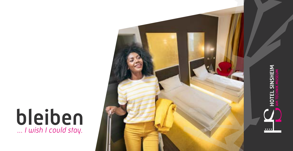## bleiben *... I wish I could stay.*

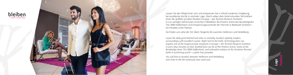



Lassen Sie den Alltag hinter sich und entspannen Sie in stilvoll moderner Umgebung, bei exzellenter Küche in zentraler Lage. Gleich neben dem Hotel erkunden Technikfans eines der größten privaten Museen Europas – das Technik Museum Sinsheim. In nur wenigen Gehminuten erreichen Fußballfans die PreZero Arena des Bundesligisten TSG 1899 Hoffenheim und Entspannungssuchende die Thermen & Badewelt Sinsheim – ein Paradies unter Palmen.

Sie finden uns nahe der Ost-West-Tangente A6 zwischen Heilbronn und Heidelberg.

*Leave the daily grind behind and relax in centrally-located, stylishly modern surroundings with excellent cuisine. Right next to the hotel, technology fans can explore one of the largest private museums in Europe – the Technik Museum Sinsheim. In just a few minutes on foot, football fans can be at the PreZero Arena, home of the Bundesliga team TSG 1899 Hoffenheim, and relaxation seekers at the Sinsheim thermal baths & swimming world – a palm tree paradise.*

*You will find us located, between Heilbronn and Heidelberg and close to the A6 motorway east-west axis.* 

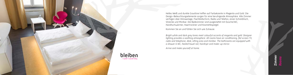

bleiben *... I wish I could stay.*

Helles Weiß und dunkle Grautöne treffen auf Farbakzente in Magenta und Gold. Die Design-Beleuchtungselemente sorgen für eine beruhigende Atmosphäre. Alle Zimmer verfügen über Klimaanlage, Flachbildschirm, Radio und Telefon, einen Schreibtisch, Sitzecke und Minibar. Die Badezimmer sind ausgestattet mit Dusche/WC, Handtuchwärmer, Haartrockner und Kosmetikspiegel.

Kommen Sie an und fühlen Sie sich wie Zuhause.

*Bright white and dark grey tones meet colourful accents of magenta and gold. Designer lighting provides a soothing atmosphere. All rooms have air conditioning, flat screen TV, radio and telephone, desk, sitting area and minibar. The bathrooms are equipped with a shower & WC, heated towel rail, hairdryer and make-up mirror.*

*Arrive and make yourself at home.*

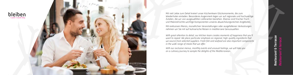



Mit viel Liebe zum Detail kreiert unser Küchenteam Glücksmomente, die zum Wiederholen einladen. Besonderes Augenmerk legen wir auf regionale und hochwertige Zutaten, die wir von ausgewählten Lieferanten beziehen. Ebenso sind frischer Fisch und Meeresfrüchte wichtige Komponenten unseres abwechslungsreichen Angebotes.

Mit exklusiven Menüs, monatlichen Veranstaltungen oder ausgefallenen Verkostungen nehmen wir Sie mit auf kulinarische Reisen in mediterrane Genusswelten.

> Restaurant & Terrasse *Restaurant & terrace*ā

*With great attention to detail, our kitchen team creates moments of happiness that you'll want to repeat. We place particular emphasis on regional, high-quality ingredients that we source from selected suppliers. Fresh fish and seafood are also important components in the wide range of meals that we offer.*

*With our exclusive menus, monthly events and unusual tastings, we will take you on a culinary journey to sample the delights of the Mediterranean.*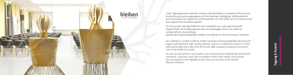



Unser Tagungskonzept verbindet moderne Räumlichkeiten, kompetente Planung und Unterstützung sowie ausgewogene und hochwertige Verpflegung. Vollklimatisierte Konferenzräume mit Tageslicht und Terrassentür ins Freie bieten auch im Hochsommer eine angenehme Arbeitsatmosphäre.

Für Ihre private oder geschäftliche Feier empfehlen wir unser geschmackvoll eingerichtetes Veranstaltungsrestaurant, ein großzügiger Raum mit moderner und gemütlicher Ausstrahlung. Spannende Programmhighlights erleben Sie nebenan im Technik Museum Sinsheim.

*Conferences & events*enrs Tagung & Events 및  $\mathbf{\omega}$ gung

*Our conference concept combines modern premises and knowledgeable planning and support with balanced, high-quality catering. Fully air-conditioned conference rooms with natural light and a door onto the terrace offer a pleasant working environment, even in the height of summer.* 

*For your private parties or work events, we recommend our tastefully decorated event restaurant, a spacious room with an ambience that is both modern and relaxed. You can experience the highlight of your stay just next door at the Technik Museum Sinsheim.*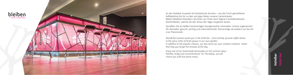

An der Hotelbar erwarten Sie fantastische Aromen – von der frisch gemahlenen Kaffeebohne bis hin zu den würzigen Noten unserer Gartenkräuter. Neben beliebten Klassikern servieren wir Ihnen auch eigene Cocktailkreationen. Köstlichkeiten, welche Sie den Stress des Tages vergessen lassen.

Genießen Sie an heißen Sommertagen hausgemachte Limonaden. Unsere sogenannten Oli-Monaden: gesund, spritzig und unkonventionell. Donnerstags verzaubern wir Sie mit Live-Pianomusik.

*Wonderful aromas await you in the hotel bar – from freshly-ground coffee beans to the spicy notes of herbs grown in our own garden. In addition to the popular classics, we also serve our own cocktail creations. Treats that help you forget the stresses of the day.* 

*Enjoy one of our homemade lemonades on hot summer days – healthy, tangy and unconventional. On Thursdays, we will charm you with live piano music.*

## Hotelbar *Hotel bar*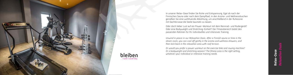

bleiben *... I wish I could stay.*

In unserer Relax-Oase finden Sie Ruhe und Entspannung. Egal ob nach der Finnischen Sauna oder nach dem Dampfbad, in den Aroma- und Wellnessduschen genießen Sie eine wohltuende Abkühlung, um anschließend in der Ruhezone mit Dachterrasse die Seele baumeln zu lassen.

Oder doch lieber Lust auf ein Power-Workout mit dem Rennrad- und Rudergerät? Oder eine Bodyweight und Stretching-Einheit? Der Fitnessbereich bietet den passenden Rahmen für Ihr individuelles und intensives Training.

*Unwind in peace in our Relaxation Oasis. After a Finnish sauna or time in the steam room, you can cool off gently in the aroma and wellness showers, and then kick back in the relaxation area with roof terrace.*

*Or would you prefer a power workout on the exercise bike and rowing machine? Or a bodyweight and stretching session? The fitness area is the right setting, whatever your individual or intensive training needs.*

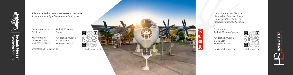info@technik-museum.de



| Technik Museum    | Technik Museum      |
|-------------------|---------------------|
| Sinsheim          | Speyer              |
| Museumsplatz      | Am Technik Museum 1 |
| 74889 Sinsheim    | 67346 Speyer        |
| $+4972619299 - 0$ | +49 6232 6708-0     |

Erleben Sie Technik von Unterwasser bis ins Weltall *Experience technique from underwater to space*

technik-museum.de







hotel-speyer.de

... und übernachten Sie in der historischen Domstadt Speyer. *... and spend the night in the medieval cathedral city Speyer.*

Das Hotel am Technik Museum Speyer

Am Technik Museum 1 67346 Speyer +49 6232 6710–0

info@hotel-speyer.de